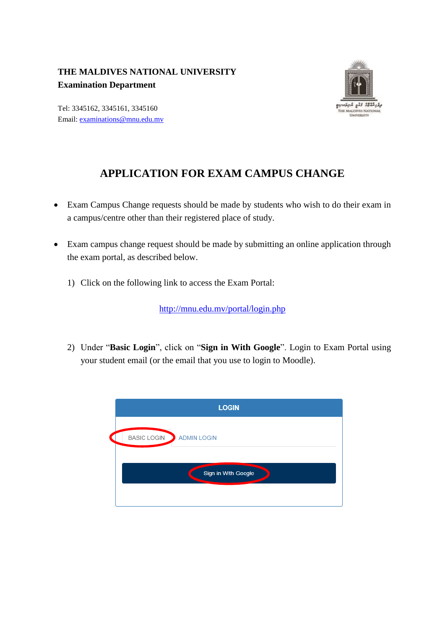## **THE MALDIVES NATIONAL UNIVERSITY Examination Department**



Tel: 3345162, 3345161, 3345160 Email: [examinations@mnu.edu.mv](mailto:examinations@mnu.edu.mv)

## **APPLICATION FOR EXAM CAMPUS CHANGE**

- Exam Campus Change requests should be made by students who wish to do their exam in a campus/centre other than their registered place of study.
- Exam campus change request should be made by submitting an online application through the exam portal, as described below.
	- 1) Click on the following link to access the Exam Portal:

<http://mnu.edu.mv/portal/login.php>

2) Under "**Basic Login**", click on "**Sign in With Google**". Login to Exam Portal using your student email (or the email that you use to login to Moodle).

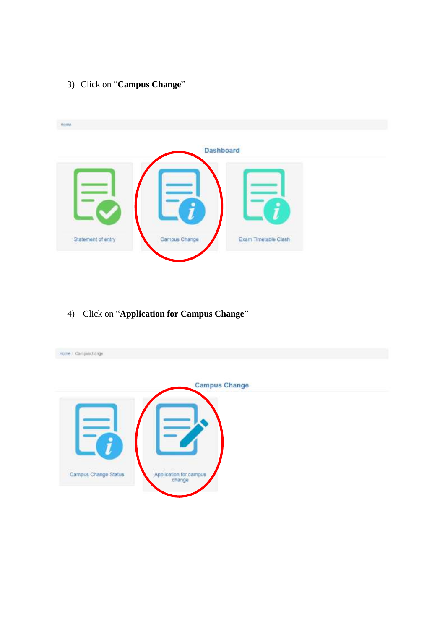3) Click on "**Campus Change**"



4) Click on "**Application for Campus Change**"

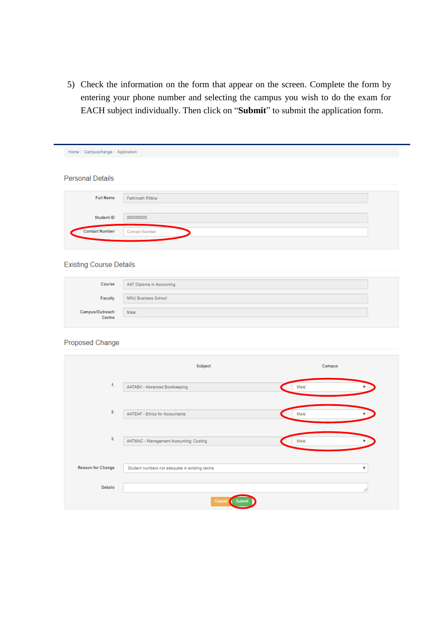5) Check the information on the form that appear on the screen. Complete the form by entering your phone number and selecting the campus you wish to do the exam for EACH subject individually. Then click on "Submit" to submit the application form.

| Home / Campuschange / Application |                       |
|-----------------------------------|-----------------------|
| <b>Personal Details</b>           |                       |
| <b>Full Name</b>                  | Fathimath Rifsha      |
| Student ID                        | 000000000             |
| <b>Contact Number</b>             | <b>Contact Number</b> |
|                                   |                       |

## **Existing Course Details**

|                           | Course AAT Diploma in Accounting |  |
|---------------------------|----------------------------------|--|
| Faculty                   | MNU Business School              |  |
| Campus/Outreach<br>Centre | Male'                            |  |

## Proposed Change

|                          | Subject                                         | Campus            |
|--------------------------|-------------------------------------------------|-------------------|
| 1.                       | AATABK - Advanced Bookkeeping                   | Male <sup>*</sup> |
| 2.                       | AATEAF - Ethics for Accountants                 | Male <sup>*</sup> |
| 3.                       | AATMAC - Management Accounting: Costing         | Male <sup>*</sup> |
| <b>Reason for Change</b> | Student numbers not adequate in existing centre | ▼                 |
| <b>Details</b>           |                                                 | ╱                 |
|                          | Cancel<br>Submit                                |                   |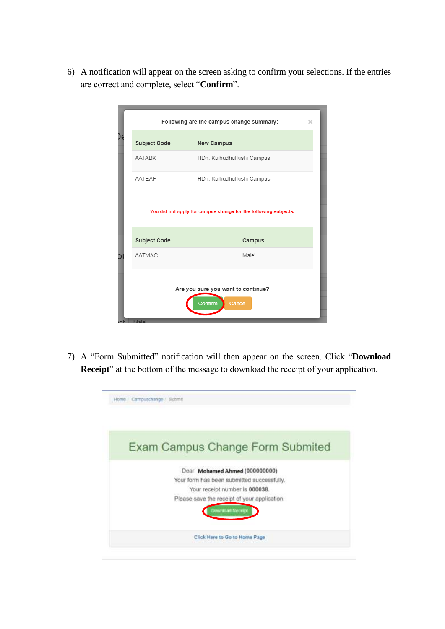6) A notification will appear on the screen asking to confirm your selections. If the entries are correct and complete, select "**Confirm**".

|          |              | Following are the campus change summary:                        | $\times$ |
|----------|--------------|-----------------------------------------------------------------|----------|
|          | Subject Code | <b>New Campus</b>                                               |          |
|          | AATABK       | HDh. Kulhudhuffushi Campus                                      |          |
|          | AATFAF       | HDh. Kulhudhuffushi Campus                                      |          |
|          |              | You did not apply for campus change for the following subjects: |          |
|          | Subject Code | Campus                                                          |          |
|          | AATMAC       | Male'                                                           |          |
| $M$ ale' |              | Are you sure you want to continue?<br>Cancel<br>Confirm         |          |

7) A "Form Submitted" notification will then appear on the screen. Click "**Download Receipt**" at the bottom of the message to download the receipt of your application.

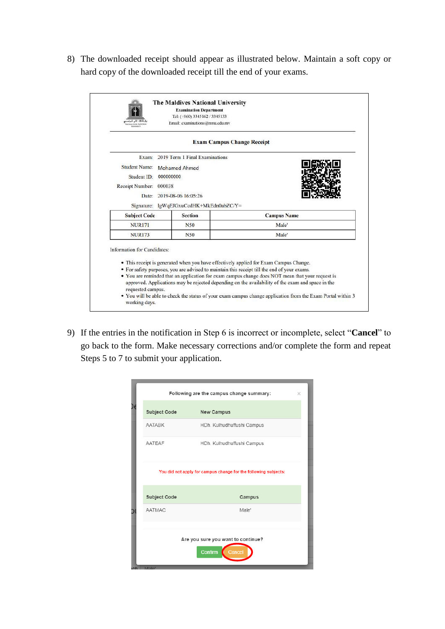8) The downloaded receipt should appear as illustrated below. Maintain a soft copy or hard copy of the downloaded receipt till the end of your exams.

|                             |                                         | <b>Exam Campus Change Receipt</b>                                                           |
|-----------------------------|-----------------------------------------|---------------------------------------------------------------------------------------------|
| Exam:                       | 2019 Term 1 Final Examinations          |                                                                                             |
| <b>Student Name:</b>        | Mohamed Ahmed                           |                                                                                             |
| Student ID:                 | 000000000                               |                                                                                             |
| Receipt Number:<br>000038   |                                         |                                                                                             |
|                             | Date: 2019-08-06 16:05:26               |                                                                                             |
|                             | Signature: lgWqEJGxuCcdHK+MkEdn0abZC/Y= |                                                                                             |
| <b>Subject Code</b>         | <b>Section</b>                          | <b>Campus Name</b>                                                                          |
| <b>NUR171</b>               | N50                                     | Male'                                                                                       |
| <b>NUR173</b>               | N50                                     | Male'                                                                                       |
| Information for Candidates: |                                         |                                                                                             |
|                             |                                         | • This receipt is generated when you have effectively applied for Exam Campus Change.       |
|                             |                                         | • For safety purposes, you are advised to maintain this receipt till the end of your exams. |

9) If the entries in the notification in Step 6 is incorrect or incomplete, select "**Cancel**" to go back to the form. Make necessary corrections and/or complete the form and repeat Steps 5 to 7 to submit your application.

| Following are the campus change summary:<br>$\times$                |                            |  |  |  |  |
|---------------------------------------------------------------------|----------------------------|--|--|--|--|
| Subject Code                                                        | <b>New Campus</b>          |  |  |  |  |
| <b>AATABK</b>                                                       | HDh. Kulhudhuffushi Campus |  |  |  |  |
| AATEAF                                                              | HDh. Kulhudhuffushi Campus |  |  |  |  |
| You did not apply for campus change for the following subjects:     |                            |  |  |  |  |
| Subject Code                                                        | Campus                     |  |  |  |  |
| AATMAC                                                              | Male'                      |  |  |  |  |
| Are you sure you want to continue?<br>Confirm<br>Cancel<br>ch Male' |                            |  |  |  |  |